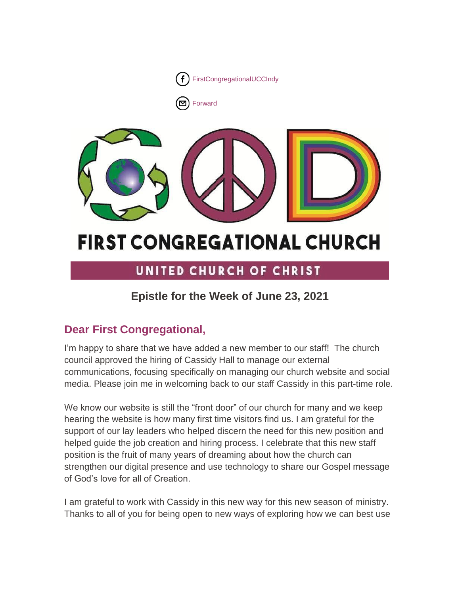

[Forward](http://us16.forward-to-friend.com/forward?u=7a2e4c501545b6d78729a64a1&id=6b70a31f74&e=%5bUNIQID%5d)



# **FIRST CONGREGATIONAL CHURCH**

## UNITED CHURCH OF CHRIST

### **Epistle for the Week of June 23, 2021**

### **Dear First Congregational,**

I'm happy to share that we have added a new member to our staff! The church council approved the hiring of Cassidy Hall to manage our external communications, focusing specifically on managing our church website and social media. Please join me in welcoming back to our staff Cassidy in this part-time role.

We know our website is still the "front door" of our church for many and we keep hearing the website is how many first time visitors find us. I am grateful for the support of our lay leaders who helped discern the need for this new position and helped guide the job creation and hiring process. I celebrate that this new staff position is the fruit of many years of dreaming about how the church can strengthen our digital presence and use technology to share our Gospel message of God's love for all of Creation.

I am grateful to work with Cassidy in this new way for this new season of ministry. Thanks to all of you for being open to new ways of exploring how we can best use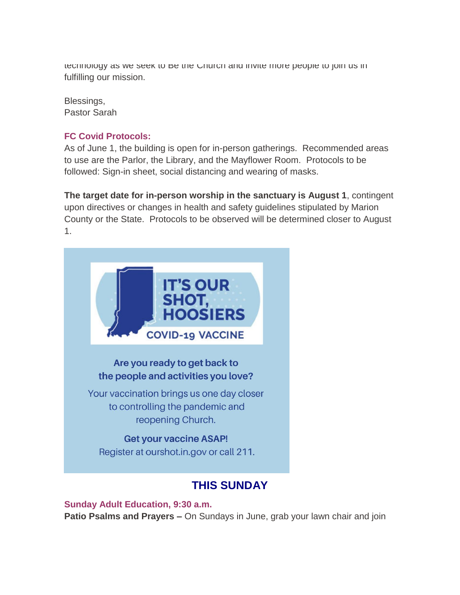technology as we seek to be the Unurch and invite more people to join us in fulfilling our mission.

Blessings, Pastor Sarah

### **FC Covid Protocols:**

As of June 1, the building is open for in-person gatherings. Recommended areas to use are the Parlor, the Library, and the Mayflower Room. Protocols to be followed: Sign-in sheet, social distancing and wearing of masks.

**The target date for in-person worship in the sanctuary is August 1**, contingent upon directives or changes in health and safety guidelines stipulated by Marion County or the State. Protocols to be observed will be determined closer to August 1.



### **THIS SUNDAY**

**Sunday Adult Education, 9:30 a.m. Patio Psalms and Prayers –** On Sundays in June, grab your lawn chair and join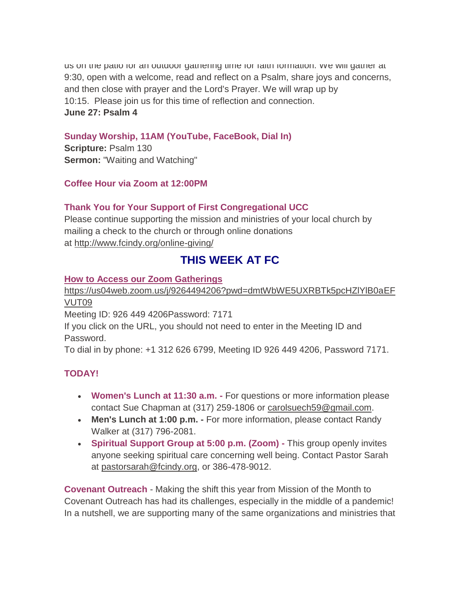us on the patio for an outdoor gathering time for faith formation. We will gather at 9:30, open with a welcome, read and reflect on a Psalm, share joys and concerns, and then close with prayer and the Lord's Prayer. We will wrap up by 10:15. Please join us for this time of reflection and connection. **June 27: Psalm 4**

### **Sunday Worship, 11AM (YouTube, FaceBook, Dial In)**

**Scripture:** Psalm 130 **Sermon:** "Waiting and Watching"

### **Coffee Hour via Zoom at 12:00PM**

### **Thank You for Your Support of First Congregational UCC**

Please continue supporting the mission and ministries of your local church by mailing a check to the church or through online donations at <http://www.fcindy.org/online-giving/>

### **THIS WEEK AT FC**

### **How to Access our Zoom Gatherings**

[https://us04web.zoom.us/j/9264494206?pwd=dmtWbWE5UXRBTk5pcHZlYlB0aEF](https://us04web.zoom.us/j/9264494206?pwd=dmtWbWE5UXRBTk5pcHZlYlB0aEFVUT09) [VUT09](https://us04web.zoom.us/j/9264494206?pwd=dmtWbWE5UXRBTk5pcHZlYlB0aEFVUT09)

Meeting ID: 926 449 4206Password: 7171

If you click on the URL, you should not need to enter in the Meeting ID and Password.

To dial in by phone: +1 312 626 6799, Meeting ID 926 449 4206, Password 7171.

### **TODAY!**

- **Women's Lunch at 11:30 a.m. -** For questions or more information please contact Sue Chapman at (317) 259-1806 or [carolsuech59@gmail.com.](mailto:carolsuech59@gmail.com)
- **Men's Lunch at 1:00 p.m. -** For more information, please contact Randy Walker at (317) 796-2081.
- **Spiritual Support Group at 5:00 p.m. (Zoom) -** This group openly invites anyone seeking spiritual care concerning well being. Contact Pastor Sarah at [pastorsarah@fcindy.org,](mailto:pastorsarah@fcindy.org) or 386-478-9012.

**Covenant Outreach** - Making the shift this year from Mission of the Month to Covenant Outreach has had its challenges, especially in the middle of a pandemic! In a nutshell, we are supporting many of the same organizations and ministries that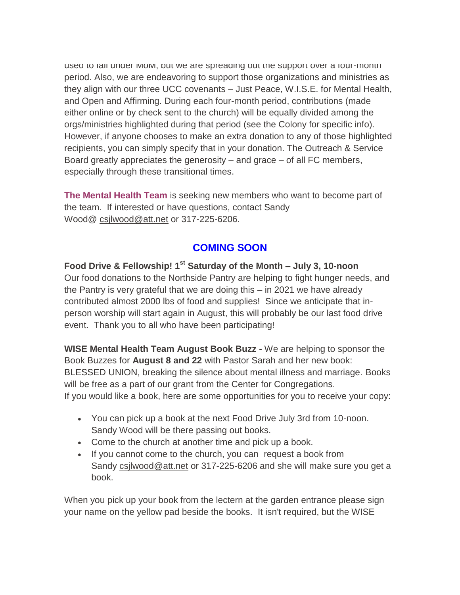used to fall under MoM, but we are spreading out the support over a four-month period. Also, we are endeavoring to support those organizations and ministries as they align with our three UCC covenants – Just Peace, W.I.S.E. for Mental Health, and Open and Affirming. During each four-month period, contributions (made either online or by check sent to the church) will be equally divided among the orgs/ministries highlighted during that period (see the Colony for specific info). However, if anyone chooses to make an extra donation to any of those highlighted recipients, you can simply specify that in your donation. The Outreach & Service Board greatly appreciates the generosity – and grace – of all FC members, especially through these transitional times.

**The Mental Health Team** is seeking new members who want to become part of the team. If interested or have questions, contact Sandy Wood@ [csjlwood@att.net](mailto:csjlwood@att.net) or 317-225-6206.

### **COMING SOON**

**Food Drive & Fellowship! 1st Saturday of the Month – July 3, 10-noon** Our food donations to the Northside Pantry are helping to fight hunger needs, and the Pantry is very grateful that we are doing this – in 2021 we have already contributed almost 2000 lbs of food and supplies! Since we anticipate that inperson worship will start again in August, this will probably be our last food drive event. Thank you to all who have been participating!

**WISE Mental Health Team August Book Buzz -** We are helping to sponsor the Book Buzzes for **August 8 and 22** with Pastor Sarah and her new book: BLESSED UNION, breaking the silence about mental illness and marriage. Books will be free as a part of our grant from the Center for Congregations. If you would like a book, here are some opportunities for you to receive your copy:

- You can pick up a book at the next Food Drive July 3rd from 10-noon. Sandy Wood will be there passing out books.
- Come to the church at another time and pick up a book.
- If you cannot come to the church, you can request a book from Sandy [csjlwood@att.net](mailto:csjlwood@att.net) or 317-225-6206 and she will make sure you get a book.

When you pick up your book from the lectern at the garden entrance please sign your name on the yellow pad beside the books. It isn't required, but the WISE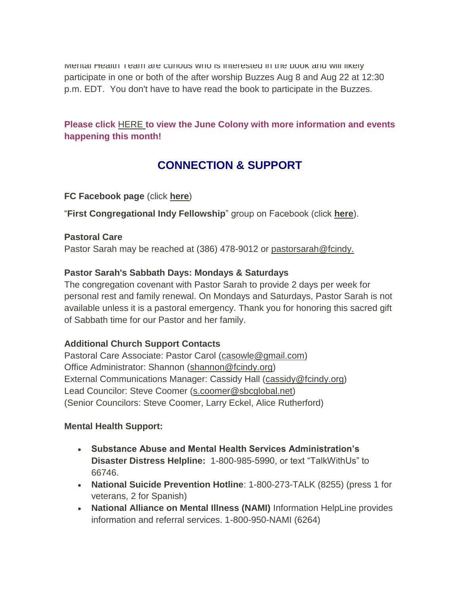iviental Health Team are curious who is interested in the book and will likely participate in one or both of the after worship Buzzes Aug 8 and Aug 22 at 12:30 p.m. EDT. You don't have to have read the book to participate in the Buzzes.

### **Please click** [HERE](https://mcusercontent.com/7a2e4c501545b6d78729a64a1/files/d48f69d7-e688-a3ac-b0c2-00c4dfd79cda/June_Colony_2021.01.pdf) **to view the June Colony with more information and events happening this month!**

### **CONNECTION & SUPPORT**

### **FC Facebook page** (click **[here](https://www.facebook.com/FirstCongregationalUCCIndy/)**)

"**First Congregational Indy Fellowship**" group on Facebook (click **[here](https://www.facebook.com/groups/521333455186422/)**).

### **Pastoral Care**

Pastor Sarah may be reached at (386) 478-9012 or [pastorsarah@fcindy.](mailto:pastorsarah@fcindy.org)

### **Pastor Sarah's Sabbath Days: Mondays & Saturdays**

The congregation covenant with Pastor Sarah to provide 2 days per week for personal rest and family renewal. On Mondays and Saturdays, Pastor Sarah is not available unless it is a pastoral emergency. Thank you for honoring this sacred gift of Sabbath time for our Pastor and her family.

### **Additional Church Support Contacts**

Pastoral Care Associate: Pastor Carol [\(casowle@gmail.com\)](mailto:casowle@gmail.com) Office Administrator: Shannon [\(shannon@fcindy.org\)](mailto:shannon@fcindy.org) External Communications Manager: Cassidy Hall [\(cassidy@fcindy.org\)](mailto:cassidy@fcindy.org) Lead Councilor: Steve Coomer [\(s.coomer@sbcglobal.net\)](mailto:s.coomer@sbcglobal.net) (Senior Councilors: Steve Coomer, Larry Eckel, Alice Rutherford)

### **Mental Health Support:**

- **Substance Abuse and Mental Health Services Administration's Disaster Distress Helpline:** 1-800-985-5990, or text "TalkWithUs" to 66746.
- **National Suicide Prevention Hotline**: 1-800-273-TALK (8255) (press 1 for veterans, 2 for Spanish)
- **National Alliance on Mental Illness (NAMI)** Information HelpLine provides information and referral services. 1-800-950-NAMI (6264)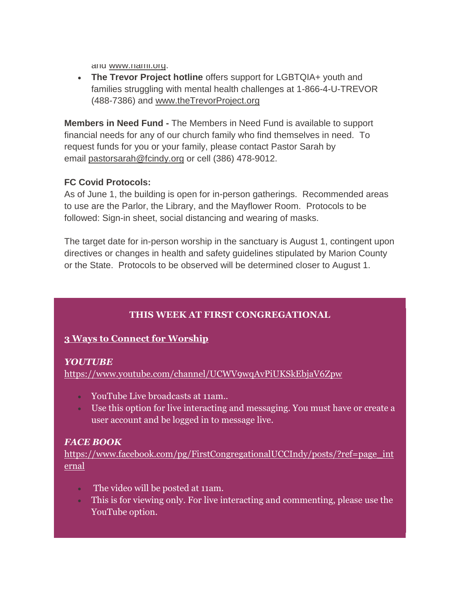and [www.nami.org.](http://www.nami.org/)

 **The Trevor Project hotline** offers support for LGBTQIA+ youth and families struggling with mental health challenges at 1-866-4-U-TREVOR (488-7386) and [www.theTrevorProject.org](http://www.thetrevorproject.org/)

**Members in Need Fund -** The Members in Need Fund is available to support financial needs for any of our church family who find themselves in need. To request funds for you or your family, please contact Pastor Sarah by email [pastorsarah@fcindy.org](mailto:pastorsarah@fcindy.org) or cell (386) 478-9012.

### **FC Covid Protocols:**

As of June 1, the building is open for in-person gatherings. Recommended areas to use are the Parlor, the Library, and the Mayflower Room. Protocols to be followed: Sign-in sheet, social distancing and wearing of masks.

The target date for in-person worship in the sanctuary is August 1, contingent upon directives or changes in health and safety guidelines stipulated by Marion County or the State. Protocols to be observed will be determined closer to August 1.

### **THIS WEEK AT FIRST CONGREGATIONAL**

### **3 Ways to Connect for Worship**

#### *YOUTUBE*

<https://www.youtube.com/channel/UCWV9wqAvPiUKSkEbjaV6Zpw>

- YouTube Live broadcasts at 11am..
- Use this option for live interacting and messaging. You must have or create a user account and be logged in to message live.

### *FACE BOOK*

[https://www.facebook.com/pg/FirstCongregationalUCCIndy/posts/?ref=page\\_int](https://www.facebook.com/pg/FirstCongregationalUCCIndy/posts/?ref=page_internal) [ernal](https://www.facebook.com/pg/FirstCongregationalUCCIndy/posts/?ref=page_internal)

- The video will be posted at 11am.
- This is for viewing only. For live interacting and commenting, please use the YouTube option.